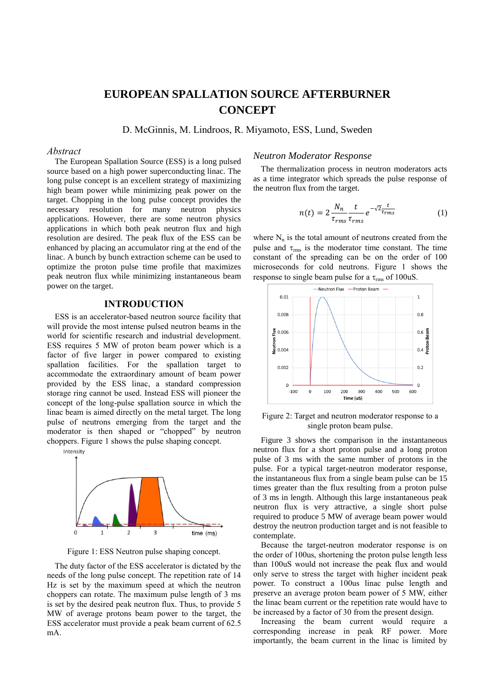# **EUROPEAN SPALLATION SOURCE AFTERBURNER CONCEPT**

D. McGinnis, M. Lindroos, R. Miyamoto, ESS, Lund, Sweden

## *Abstract*

The European Spallation Source (ESS) is a long pulsed source based on a high power superconducting linac. The long pulse concept is an excellent strategy of maximizing high beam power while minimizing peak power on the target. Chopping in the long pulse concept provides the necessary resolution for many neutron physics applications. However, there are some neutron physics applications in which both peak neutron flux and high resolution are desired. The peak flux of the ESS can be enhanced by placing an accumulator ring at the end of the linac. A bunch by bunch extraction scheme can be used to optimize the proton pulse time profile that maximizes peak neutron flux while minimizing instantaneous beam power on the target.

# **INTRODUCTION**

ESS is an accelerator-based neutron source facility that will provide the most intense pulsed neutron beams in the world for scientific research and industrial development. ESS requires 5 MW of proton beam power which is a factor of five larger in power compared to existing spallation facilities. For the spallation target to accommodate the extraordinary amount of beam power provided by the ESS linac, a standard compression storage ring cannot be used. Instead ESS will pioneer the concept of the long-pulse spallation source in which the linac beam is aimed directly on the metal target. The long pulse of neutrons emerging from the target and the moderator is then shaped or "chopped" by neutron choppers. Figure 1 shows the pulse shaping concept.



Figure 1: ESS Neutron pulse shaping concept.

The duty factor of the ESS accelerator is dictated by the needs of the long pulse concept. The repetition rate of 14 Hz is set by the maximum speed at which the neutron choppers can rotate. The maximum pulse length of 3 ms is set by the desired peak neutron flux. Thus, to provide 5 MW of average protons beam power to the target, the ESS accelerator must provide a peak beam current of 62.5 mA.

## *Neutron Moderator Response*

The thermalization process in neutron moderators acts as a time integrator which spreads the pulse response of the neutron flux from the target.

$$
n(t) = 2\frac{N_n}{\tau_{rms}} \frac{t}{\tau_{rms}} e^{-\sqrt{2} \frac{t}{\tau_{rms}}} \tag{1}
$$

where  $N_n$  is the total amount of neutrons created from the pulse and  $\tau_{\text{rms}}$  is the moderator time constant. The time constant of the spreading can be on the order of 100 microseconds for cold neutrons. Figure 1 shows the response to single beam pulse for a  $\tau_{\rm rms}$  of 100uS.



Figure 2: Target and neutron moderator response to a single proton beam pulse.

Figure 3 shows the comparison in the instantaneous neutron flux for a short proton pulse and a long proton pulse of 3 ms with the same number of protons in the pulse. For a typical target-neutron moderator response, the instantaneous flux from a single beam pulse can be 15 times greater than the flux resulting from a proton pulse of 3 ms in length. Although this large instantaneous peak neutron flux is very attractive, a single short pulse required to produce 5 MW of average beam power would destroy the neutron production target and is not feasible to contemplate.

Because the target-neutron moderator response is on the order of 100us, shortening the proton pulse length less than 100uS would not increase the peak flux and would only serve to stress the target with higher incident peak power. To construct a 100us linac pulse length and preserve an average proton beam power of 5 MW, either the linac beam current or the repetition rate would have to be increased by a factor of 30 from the present design.

Increasing the beam current would require a corresponding increase in peak RF power. More importantly, the beam current in the linac is limited by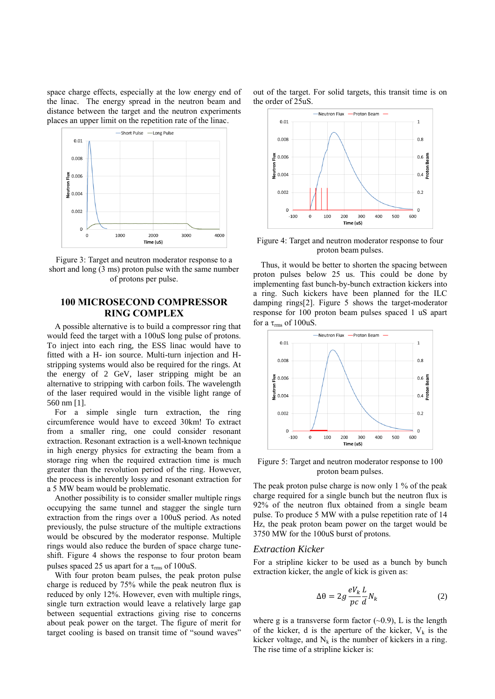space charge effects, especially at the low energy end of the linac. The energy spread in the neutron beam and distance between the target and the neutron experiments places an upper limit on the repetition rate of the linac.



Figure 3: Target and neutron moderator response to a short and long (3 ms) proton pulse with the same number of protons per pulse.

# **100 MICROSECOND COMPRESSOR RING COMPLEX**

A possible alternative is to build a compressor ring that would feed the target with a 100uS long pulse of protons. To inject into each ring, the ESS linac would have to fitted with a H- ion source. Multi-turn injection and Hstripping systems would also be required for the rings. At the energy of 2 GeV, laser stripping might be an alternative to stripping with carbon foils. The wavelength of the laser required would in the visible light range of 560 nm [1].

For a simple single turn extraction, the ring circumference would have to exceed 30km! To extract from a smaller ring, one could consider resonant extraction. Resonant extraction is a well-known technique in high energy physics for extracting the beam from a storage ring when the required extraction time is much greater than the revolution period of the ring. However, the process is inherently lossy and resonant extraction for a 5 MW beam would be problematic.

Another possibility is to consider smaller multiple rings occupying the same tunnel and stagger the single turn extraction from the rings over a 100uS period. As noted previously, the pulse structure of the multiple extractions would be obscured by the moderator response. Multiple rings would also reduce the burden of space charge tuneshift. Figure 4 shows the response to four proton beam pulses spaced 25 us apart for a  $\tau_{\rm rms}$  of 100uS.

With four proton beam pulses, the peak proton pulse charge is reduced by 75% while the peak neutron flux is reduced by only 12%. However, even with multiple rings, single turn extraction would leave a relatively large gap between sequential extractions giving rise to concerns about peak power on the target. The figure of merit for target cooling is based on transit time of "sound waves"

out of the target. For solid targets, this transit time is on the order of 25uS.



Figure 4: Target and neutron moderator response to four proton beam pulses.

Thus, it would be better to shorten the spacing between proton pulses below 25 us. This could be done by implementing fast bunch-by-bunch extraction kickers into a ring. Such kickers have been planned for the ILC damping rings[2]. Figure 5 shows the target-moderator response for 100 proton beam pulses spaced 1 uS apart for a  $\tau_{\rm rms}$  of 100uS.



Figure 5: Target and neutron moderator response to 100 proton beam pulses.

The peak proton pulse charge is now only 1 % of the peak charge required for a single bunch but the neutron flux is 92% of the neutron flux obtained from a single beam pulse. To produce 5 MW with a pulse repetition rate of 14 Hz, the peak proton beam power on the target would be 3750 MW for the 100uS burst of protons.

## *Extraction Kicker*

For a stripline kicker to be used as a bunch by bunch extraction kicker, the angle of kick is given as:

$$
\Delta \theta = 2g \frac{eV_k}{pc} \frac{L}{d} N_k
$$
 (2)

where g is a transverse form factor  $(\sim 0.9)$ , L is the length of the kicker, d is the aperture of the kicker,  $V_k$  is the kicker voltage, and  $N_k$  is the number of kickers in a ring. The rise time of a stripline kicker is: